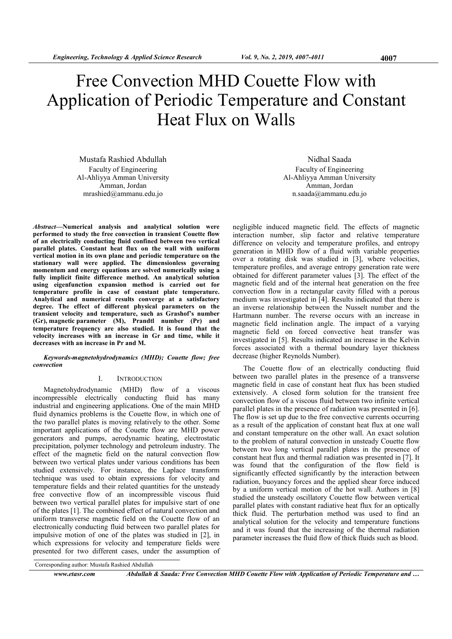# Free Convection MHD Couette Flow with Application of Periodic Temperature and Constant Heat Flux on Walls

Mustafa Rashied Abdullah Faculty of Engineering Al-Ahliyya Amman University Amman, Jordan mrashied@ammanu.edu.jo

Abstract—Numerical analysis and analytical solution were performed to study the free convection in transient Couette flow of an electrically conducting fluid confined between two vertical parallel plates. Constant heat flux on the wall with uniform vertical motion in its own plane and periodic temperature on the stationary wall were applied. The dimensionless governing momentum and energy equations are solved numerically using a fully implicit finite difference method. An analytical solution using eigenfunction expansion method is carried out for temperature profile in case of constant plate temperature. Analytical and numerical results converge at a satisfactory degree. The effect of different physical parameters on the transient velocity and temperature, such as Grashof's number (Gr), magnetic parameter (M), Prandtl number (Pr) and temperature frequency are also studied. It is found that the velocity increases with an increase in Gr and time, while it decreases with an increase in Pr and M.

#### Keywords-magnetohydrodynamics (MHD); Couette flow; free convection

# I. INTRODUCTION

Magnetohydrodynamic (MHD) flow of a viscous incompressible electrically conducting fluid has many industrial and engineering applications. One of the main MHD fluid dynamics problems is the Couette flow, in which one of the two parallel plates is moving relatively to the other. Some important applications of the Couette flow are MHD power generators and pumps, aerodynamic heating, electrostatic precipitation, polymer technology and petroleum industry. The effect of the magnetic field on the natural convection flow between two vertical plates under various conditions has been studied extensively. For instance, the Laplace transform technique was used to obtain expressions for velocity and temperature fields and their related quantities for the unsteady free convective flow of an incompressible viscous fluid between two vertical parallel plates for impulsive start of one of the plates [1]. The combined effect of natural convection and uniform transverse magnetic field on the Couette flow of an electronically conducting fluid between two parallel plates for impulsive motion of one of the plates was studied in [2], in which expressions for velocity and temperature fields were presented for two different cases, under the assumption of

Nidhal Saada Faculty of Engineering Al-Ahliyya Amman University Amman, Jordan n.saada@ammanu.edu.jo

negligible induced magnetic field. The effects of magnetic interaction number, slip factor and relative temperature difference on velocity and temperature profiles, and entropy generation in MHD flow of a fluid with variable properties over a rotating disk was studied in [3], where velocities, temperature profiles, and average entropy generation rate were obtained for different parameter values [3]. The effect of the magnetic field and of the internal heat generation on the free convection flow in a rectangular cavity filled with a porous medium was investigated in [4]. Results indicated that there is an inverse relationship between the Nusselt number and the Hartmann number. The reverse occurs with an increase in magnetic field inclination angle. The impact of a varying magnetic field on forced convective heat transfer was investigated in [5]. Results indicated an increase in the Kelvin forces associated with a thermal boundary layer thickness decrease (higher Reynolds Number).

The Couette flow of an electrically conducting fluid between two parallel plates in the presence of a transverse magnetic field in case of constant heat flux has been studied extensively. A closed form solution for the transient free convection flow of a viscous fluid between two infinite vertical parallel plates in the presence of radiation was presented in [6]. The flow is set up due to the free convective currents occurring as a result of the application of constant heat flux at one wall and constant temperature on the other wall. An exact solution to the problem of natural convection in unsteady Couette flow between two long vertical parallel plates in the presence of constant heat flux and thermal radiation was presented in [7]. It was found that the configuration of the flow field is significantly effected significantly by the interaction between radiation, buoyancy forces and the applied shear force induced by a uniform vertical motion of the hot wall. Authors in [8] studied the unsteady oscillatory Couette flow between vertical parallel plates with constant radiative heat flux for an optically thick fluid. The perturbation method was used to find an analytical solution for the velocity and temperature functions and it was found that the increasing of the thermal radiation parameter increases the fluid flow of thick fluids such as blood.

www.etasr.com Abdullah & Saada: Free Convection MHD Couette Flow with Application of Periodic Temperature and …

Corresponding author: Mustafa Rashied Abdullah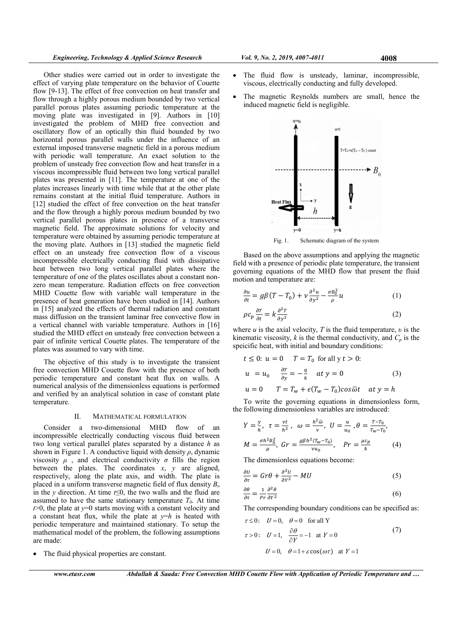Other studies were carried out in order to investigate the effect of varying plate temperature on the behavior of Couette flow [9-13]. The effect of free convection on heat transfer and flow through a highly porous medium bounded by two vertical parallel porous plates assuming periodic temperature at the moving plate was investigated in [9]. Authors in [10] investigated the problem of MHD free convection and oscillatory flow of an optically thin fluid bounded by two horizontal porous parallel walls under the influence of an external imposed transverse magnetic field in a porous medium with periodic wall temperature. An exact solution to the problem of unsteady free convection flow and heat transfer in a viscous incompressible fluid between two long vertical parallel plates was presented in [11]. The temperature at one of the plates increases linearly with time while that at the other plate remains constant at the initial fluid temperature. Authors in [12] studied the effect of free convection on the heat transfer and the flow through a highly porous medium bounded by two vertical parallel porous plates in presence of a transverse magnetic field. The approximate solutions for velocity and temperature were obtained by assuming periodic temperature at the moving plate. Authors in [13] studied the magnetic field effect on an unsteady free convection flow of a viscous incompressible electrically conducting fluid with dissipative heat between two long vertical parallel plates where the temperature of one of the plates oscillates about a constant nonzero mean temperature. Radiation effects on free convection MHD Couette flow with variable wall temperature in the presence of heat generation have been studied in [14]. Authors in [15] analyzed the effects of thermal radiation and constant mass diffusion on the transient laminar free convective flow in a vertical channel with variable temperature. Authors in [16] studied the MHD effect on unsteady free convection between a pair of infinite vertical Couette plates. The temperature of the plates was assumed to vary with time.

The objective of this study is to investigate the transient free convection MHD Couette flow with the presence of both periodic temperature and constant heat flux on walls. A numerical analysis of the dimensionless equations is performed and verified by an analytical solution in case of constant plate temperature.

#### II. MATHEMATICAL FORMULATION

Consider a two-dimensional MHD flow of incompressible electrically conducting viscous fluid between two long vertical parallel plates separated by a distance  $h$  as shown in Figure 1. A conductive liquid with density  $\rho$ , dynamic viscosity  $\mu$ , and electrical conductivity  $\sigma$  fills the region between the plates. The coordinates  $x$ ,  $y$  are aligned, respectively, along the plate axis, and width. The plate is placed in a uniform transverse magnetic field of flux density  $B<sub>o</sub>$ in the y direction. At time  $t \leq 0$ , the two walls and the fluid are assumed to have the same stationary temperature  $T_0$ . At time  $t > 0$ , the plate at  $y=0$  starts moving with a constant velocity and a constant heat flux, while the plate at  $y=h$  is heated with periodic temperature and maintained stationary. To setup the mathematical model of the problem, the following assumptions are made:

The fluid physical properties are constant.

www.etasr.com Abdullah & Saada: Free Convection MHD Couette Flow with Application of Periodic Temperature and …

- The fluid flow is unsteady, laminar, incompressible, viscous, electrically conducting and fully developed.
- The magnetic Reynolds numbers are small, hence the induced magnetic field is negligible.



Based on the above assumptions and applying the magnetic

field with a presence of periodic plate temperature, the transient governing equations of the MHD flow that present the fluid motion and temperature are:

$$
\frac{\partial u}{\partial t} = g\beta(T - T_0) + v \frac{\partial^2 u}{\partial y^2} - \frac{\sigma B_0^2}{\rho} u \tag{1}
$$

$$
\rho c_p \frac{\partial r}{\partial t} = k \frac{\partial^2 r}{\partial y^2} \tag{2}
$$

where u is the axial velocity, T is the fluid temperature,  $v$  is the kinematic viscosity, k is the thermal conductivity, and  $C_p$  is the speicific heat, with initial and boundary conditions:

$$
t \le 0: u = 0 \quad T = T_0 \text{ for all } y \, t > 0:
$$
\n
$$
u = u_0 \quad \frac{\partial T}{\partial y} = -\frac{q}{k} \quad at \, y = 0 \tag{3}
$$
\n
$$
u = 0 \quad T = T_w + \epsilon (T_w - T_0) \cos \overline{\omega} t \quad at \, y = h
$$

To write the governing equations in dimensionless form, the following dimensionless variables are introduced:

$$
Y = \frac{y}{h}, \ \tau = \frac{vt}{h^2}, \ \omega = \frac{h^2 \bar{\omega}}{v}, \ U = \frac{u}{u_0}, \theta = \frac{T - T_0}{T_W - T_0},
$$

$$
M = \frac{\sigma h^2 B_0^2}{\mu}, \ \ Gr = \frac{g \beta h^2 (T_W - T_0)}{v u_0}, \ \ \ Pr = \frac{\mu c_p}{k} \tag{4}
$$

The dimensionless equations become:

$$
\frac{\partial U}{\partial \tau} = Gr\theta + \frac{\partial^2 U}{\partial Y^2} - MU \tag{5}
$$

$$
\frac{\partial \theta}{\partial \tau} = \frac{1}{pr} \frac{\partial^2 \theta}{\partial r^2}
$$
 (6)

The corresponding boundary conditions can be specified as:

$$
\tau \le 0: \quad U = 0, \quad \theta = 0 \quad \text{for all } Y
$$
  
\n
$$
\tau > 0: \quad U = 1, \quad \frac{\partial \theta}{\partial Y} = -1 \quad \text{at } Y = 0
$$
  
\n
$$
U = 0, \quad \theta = 1 + \varepsilon \cos(\omega \tau) \quad \text{at } Y = 1
$$
\n(7)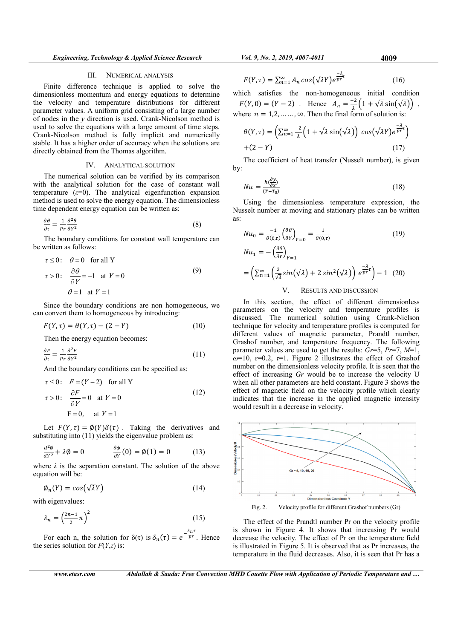### III. NUMERICAL ANALYSIS

Finite difference technique is applied to solve the dimensionless momentum and energy equations to determine the velocity and temperature distributions for different parameter values. A uniform grid consisting of a large number of nodes in the y direction is used. Crank-Nicolson method is used to solve the equations with a large amount of time steps. Crank-Nicolson method is fully implicit and numerically stable. It has a higher order of accuracy when the solutions are directly obtained from the Thomas algorithm.

#### IV. ANALYTICAL SOLUTION

The numerical solution can be verified by its comparison with the analytical solution for the case of constant wall temperature ( $\varepsilon=0$ ). The analytical eigenfunction expansion method is used to solve the energy equation. The dimensionless time dependent energy equation can be written as:

$$
\frac{\partial \theta}{\partial \tau} = \frac{1}{Pr} \frac{\partial^2 \theta}{\partial Y^2}
$$
 (8)

The boundary conditions for constant wall temperature can be written as follows:

$$
\tau \le 0: \quad \theta = 0 \quad \text{for all } Y
$$
  
\n
$$
\tau > 0: \quad \frac{\partial \theta}{\partial Y} = -1 \quad \text{at } Y = 0
$$
  
\n
$$
\theta = 1 \quad \text{at } Y = 1
$$
 (9)

Since the boundary conditions are non homogeneous, we can convert them to homogeneous by introducing:

$$
F(Y, \tau) = \theta(Y, \tau) - (2 - Y) \tag{10}
$$

Then the energy equation becomes:

$$
\frac{\partial F}{\partial \tau} = \frac{1}{Pr} \frac{\partial^2 F}{\partial Y^2}
$$
 (11)

And the boundary conditions can be specified as:

$$
\tau \le 0: \quad F = (Y - 2) \quad \text{for all } Y
$$
\n
$$
\tau > 0: \quad \frac{\partial F}{\partial Y} = 0 \quad \text{at } Y = 0
$$
\n
$$
F = 0, \quad \text{at } Y = 1
$$
\n(12)

Let  $F(Y, \tau) = \emptyset(Y) \delta(\tau)$ . Taking the derivatives and substituting into (11) yields the eigenvalue problem as:

$$
\frac{d^2\phi}{dY^2} + \lambda \phi = 0 \qquad \qquad \frac{\partial \phi}{\partial Y}(0) = \phi(1) = 0 \qquad (13)
$$

where  $\lambda$  is the separation constant. The solution of the above equation will be:

$$
\varphi_n(Y) = \cos(\sqrt{\lambda}Y) \tag{14}
$$

with eigenvalues:

$$
\lambda_n = \left(\frac{2n-1}{2}\pi\right)^2\tag{15}
$$

For each n, the solution for  $\delta(\tau)$  is  $\delta_n(\tau) = e^{-\frac{\lambda_n \tau}{p \tau}}$ . Hence the series solution for  $F(Y, \tau)$  is:

$$
F(Y,\tau) = \sum_{n=1}^{\infty} A_n \cos(\sqrt{\lambda}Y)e^{\frac{-\lambda}{pr}\tau}
$$
 (16)

which satisfies the non-homogeneous initial condition  $F(Y, 0) = (Y - 2)$ . Hence  $A_n = \frac{-2}{\lambda}$  $\frac{d^2}{\lambda}(1+\sqrt{\lambda}\sin(\sqrt{\lambda}))$ , where  $n = 1,2, \dots, \infty$ . Then the final form of solution is:

$$
\theta(Y,\tau) = \left(\sum_{n=1}^{\infty} \frac{-2}{\lambda} \left(1 + \sqrt{\lambda} \sin(\sqrt{\lambda})\right) \cos(\sqrt{\lambda}Y) e^{\frac{-\lambda}{pr}}\right) + (2 - Y) \tag{17}
$$

The coefficient of heat transfer (Nusselt number), is given by:

$$
Nu = \frac{h(\frac{\partial y}{\partial x})}{(T - T_0)}
$$
\n(18)

Using the dimensionless temperature expression, the Nusselt number at moving and stationary plates can be written as:

$$
Nu_0 = \frac{-1}{\theta(0,\tau)} \left(\frac{\partial \theta}{\partial \tau}\right)_{\gamma=0} = \frac{1}{\theta(0,\tau)}
$$
(19)  
\n
$$
Nu_1 = -\left(\frac{\partial \theta}{\partial \tau}\right)_{\gamma=1}
$$
  
\n
$$
= \left(\sum_{n=1}^{\infty} \left(\frac{2}{\sqrt{\lambda}} \sin(\sqrt{\lambda}) + 2 \sin^2(\sqrt{\lambda})\right) e^{\frac{-\lambda}{pr} \tau} \right) - 1
$$
(20)

#### V. RESULTS AND DISCUSSION

In this section, the effect of different dimensionless parameters on the velocity and temperature profiles is discussed. The numerical solution using Crank-Niclson technique for velocity and temperature profiles is computed for different values of magnetic parameter, Prandtl number, Grashof number, and temperature frequency. The following parameter values are used to get the results:  $Gr=5$ ,  $Pr=7$ ,  $M=1$ ,  $\omega$ =10,  $\varepsilon$ =0.2,  $\tau$ =1. Figure 2 illustrates the effect of Grashof number on the dimensionless velocity profile. It is seen that the effect of increasing Gr would be to increase the velocity U when all other parameters are held constant. Figure 3 shows the effect of magnetic field on the velocity profile which clearly indicates that the increase in the applied magnetic intensity would result in a decrease in velocity.



The effect of the Prandtl number Pr on the velocity profile is shown in Figure 4. It shows that increasing Pr would decrease the velocity. The effect of Pr on the temperature field is illustrated in Figure 5. It is observed that as Pr increases, the temperature in the fluid decreases. Also, it is seen that Pr has a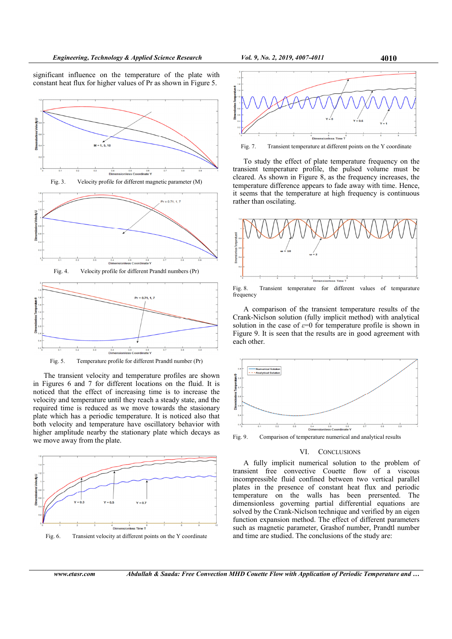significant influence on the temperature of the plate with constant heat flux for higher values of Pr as shown in Figure 5.



Fig. 3. Velocity profile for different magnetic parameter (M)



Fig. 4. Velocity profile for different Prandtl numbers (Pr)



Fig. 5. Temperature profile for different Prandtl number (Pr)

The transient velocity and temperature profiles are shown in Figures 6 and 7 for different locations on the fluid. It is noticed that the effect of increasing time is to increase the velocity and temperature until they reach a steady state, and the required time is reduced as we move towards the stasionary plate which has a periodic temperature. It is noticed also that both velocity and temperature have oscillatory behavior with higher amplitude nearby the stationary plate which decays as we move away from the plate.



Fig. 6. Transient velocity at different points on the Y coordinate



Fig. 7. Transient temperature at different points on the Y coordinate

To study the effect of plate temperature frequency on the transient temperature profile, the pulsed volume must be cleared. As shown in Figure 8, as the frequency increases, the temperature difference appears to fade away with time. Hence, it seems that the temperature at high frequency is continuous rather than oscilating.



Fig. 8. Transient temperature for different values of temparature frequency

A comparison of the transient temperature results of the Crank-Niclson solution (fully implicit method) with analytical solution in the case of  $\varepsilon=0$  for temperature profile is shown in Figure 9. It is seen that the results are in good agreement with each other.



Fig. 9. Comparison of temperature numerical and analytical results

# VI. CONCLUSIONS

A fully implicit numerical solution to the problem of transient free convective Couette flow of a viscous incompressible fluid confined between two vertical parallel plates in the presence of constant heat flux and periodic temperature on the walls has been prersented. The dimensionless governing partial differential equations are solved by the Crank-Niclson technique and verified by an eigen function expansion method. The effect of different parameters such as magnetic parameter, Grashof number, Prandtl number and time are studied. The conclusions of the study are: